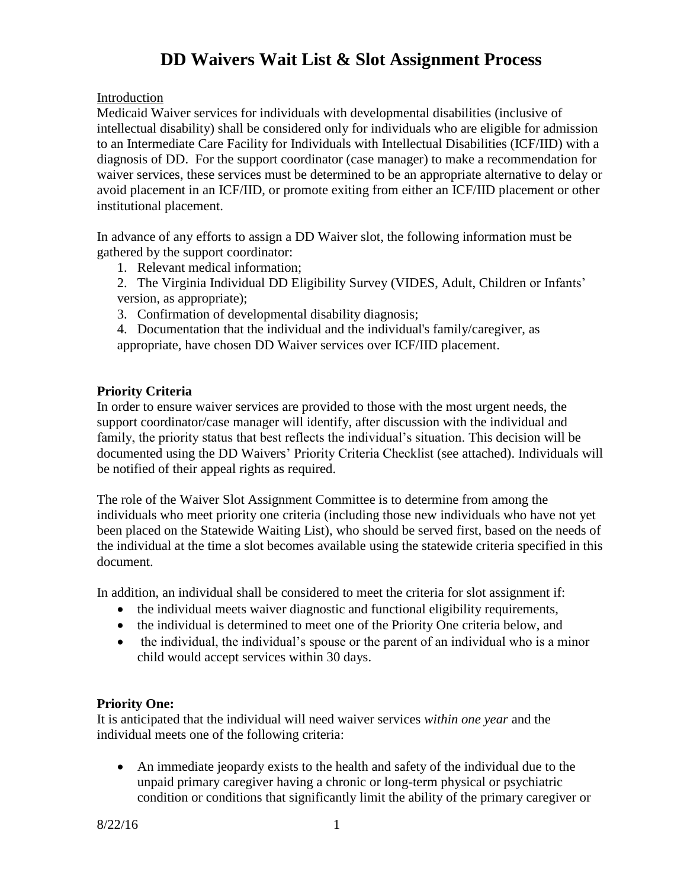# **DD Waivers Wait List & Slot Assignment Process**

Introduction

Medicaid Waiver services for individuals with developmental disabilities (inclusive of intellectual disability) shall be considered only for individuals who are eligible for admission to an Intermediate Care Facility for Individuals with Intellectual Disabilities (ICF/IID) with a diagnosis of DD. For the support coordinator (case manager) to make a recommendation for waiver services, these services must be determined to be an appropriate alternative to delay or avoid placement in an ICF/IID, or promote exiting from either an ICF/IID placement or other institutional placement.

In advance of any efforts to assign a DD Waiver slot, the following information must be gathered by the support coordinator:

1. Relevant medical information;

2. The Virginia Individual DD Eligibility Survey (VIDES, Adult, Children or Infants' version, as appropriate);

3. Confirmation of developmental disability diagnosis;

4. Documentation that the individual and the individual's family/caregiver, as appropriate, have chosen DD Waiver services over ICF/IID placement.

#### **Priority Criteria**

In order to ensure waiver services are provided to those with the most urgent needs, the support coordinator/case manager will identify, after discussion with the individual and family, the priority status that best reflects the individual's situation. This decision will be documented using the DD Waivers' Priority Criteria Checklist (see attached). Individuals will be notified of their appeal rights as required.

The role of the Waiver Slot Assignment Committee is to determine from among the individuals who meet priority one criteria (including those new individuals who have not yet been placed on the Statewide Waiting List), who should be served first, based on the needs of the individual at the time a slot becomes available using the statewide criteria specified in this document.

In addition, an individual shall be considered to meet the criteria for slot assignment if:

- the individual meets waiver diagnostic and functional eligibility requirements,
- the individual is determined to meet one of the Priority One criteria below, and
- the individual, the individual's spouse or the parent of an individual who is a minor child would accept services within 30 days.

#### **Priority One:**

It is anticipated that the individual will need waiver services *within one year* and the individual meets one of the following criteria:

 An immediate jeopardy exists to the health and safety of the individual due to the unpaid primary caregiver having a chronic or long-term physical or psychiatric condition or conditions that significantly limit the ability of the primary caregiver or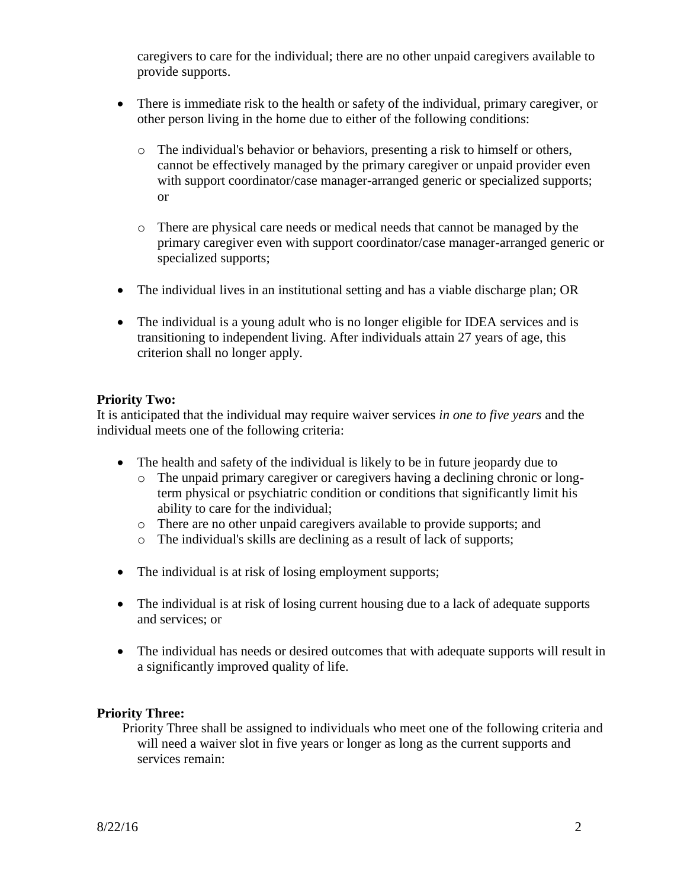caregivers to care for the individual; there are no other unpaid caregivers available to provide supports.

- There is immediate risk to the health or safety of the individual, primary caregiver, or other person living in the home due to either of the following conditions:
	- o The individual's behavior or behaviors, presenting a risk to himself or others, cannot be effectively managed by the primary caregiver or unpaid provider even with support coordinator/case manager-arranged generic or specialized supports; or
	- o There are physical care needs or medical needs that cannot be managed by the primary caregiver even with support coordinator/case manager-arranged generic or specialized supports;
- The individual lives in an institutional setting and has a viable discharge plan; OR
- The individual is a young adult who is no longer eligible for IDEA services and is transitioning to independent living. After individuals attain 27 years of age, this criterion shall no longer apply.

#### **Priority Two:**

It is anticipated that the individual may require waiver services *in one to five years* and the individual meets one of the following criteria:

- The health and safety of the individual is likely to be in future jeopardy due to
	- o The unpaid primary caregiver or caregivers having a declining chronic or longterm physical or psychiatric condition or conditions that significantly limit his ability to care for the individual;
	- o There are no other unpaid caregivers available to provide supports; and
	- o The individual's skills are declining as a result of lack of supports;
- The individual is at risk of losing employment supports;
- The individual is at risk of losing current housing due to a lack of adequate supports and services; or
- The individual has needs or desired outcomes that with adequate supports will result in a significantly improved quality of life.

#### **Priority Three:**

Priority Three shall be assigned to individuals who meet one of the following criteria and will need a waiver slot in five years or longer as long as the current supports and services remain: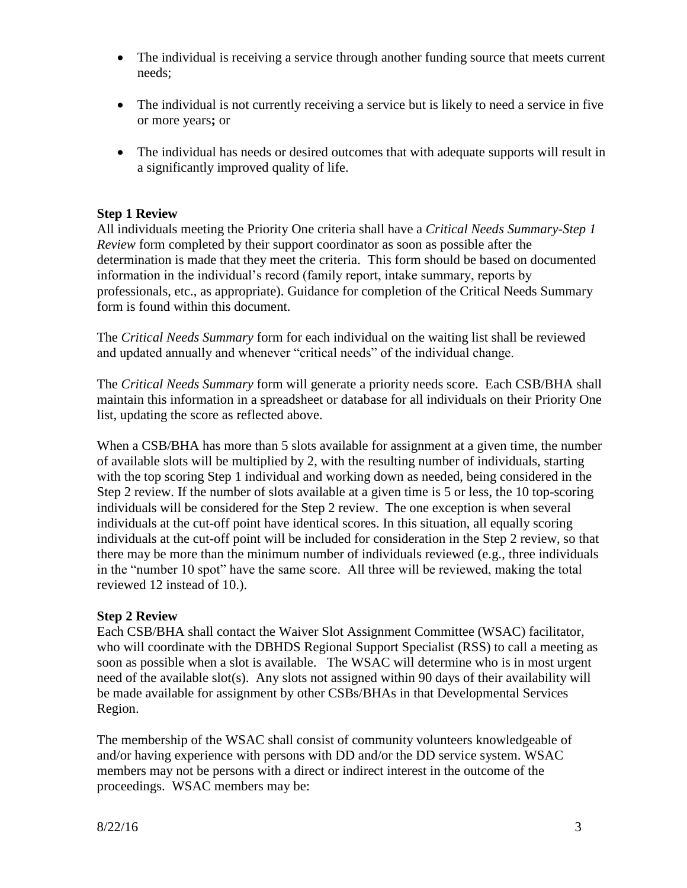- The individual is receiving a service through another funding source that meets current needs;
- The individual is not currently receiving a service but is likely to need a service in five or more years**;** or
- The individual has needs or desired outcomes that with adequate supports will result in a significantly improved quality of life.

#### **Step 1 Review**

All individuals meeting the Priority One criteria shall have a *Critical Needs Summary-Step 1 Review* form completed by their support coordinator as soon as possible after the determination is made that they meet the criteria. This form should be based on documented information in the individual's record (family report, intake summary, reports by professionals, etc., as appropriate). Guidance for completion of the Critical Needs Summary form is found within this document.

The *Critical Needs Summary* form for each individual on the waiting list shall be reviewed and updated annually and whenever "critical needs" of the individual change.

The *Critical Needs Summary* form will generate a priority needs score. Each CSB/BHA shall maintain this information in a spreadsheet or database for all individuals on their Priority One list, updating the score as reflected above.

When a CSB/BHA has more than 5 slots available for assignment at a given time, the number of available slots will be multiplied by 2, with the resulting number of individuals, starting with the top scoring Step 1 individual and working down as needed, being considered in the Step 2 review. If the number of slots available at a given time is 5 or less, the 10 top-scoring individuals will be considered for the Step 2 review. The one exception is when several individuals at the cut-off point have identical scores. In this situation, all equally scoring individuals at the cut-off point will be included for consideration in the Step 2 review, so that there may be more than the minimum number of individuals reviewed (e.g., three individuals in the "number 10 spot" have the same score. All three will be reviewed, making the total reviewed 12 instead of 10.).

#### **Step 2 Review**

Each CSB/BHA shall contact the Waiver Slot Assignment Committee (WSAC) facilitator, who will coordinate with the DBHDS Regional Support Specialist (RSS) to call a meeting as soon as possible when a slot is available. The WSAC will determine who is in most urgent need of the available slot(s). Any slots not assigned within 90 days of their availability will be made available for assignment by other CSBs/BHAs in that Developmental Services Region.

The membership of the WSAC shall consist of community volunteers knowledgeable of and/or having experience with persons with DD and/or the DD service system. WSAC members may not be persons with a direct or indirect interest in the outcome of the proceedings. WSAC members may be: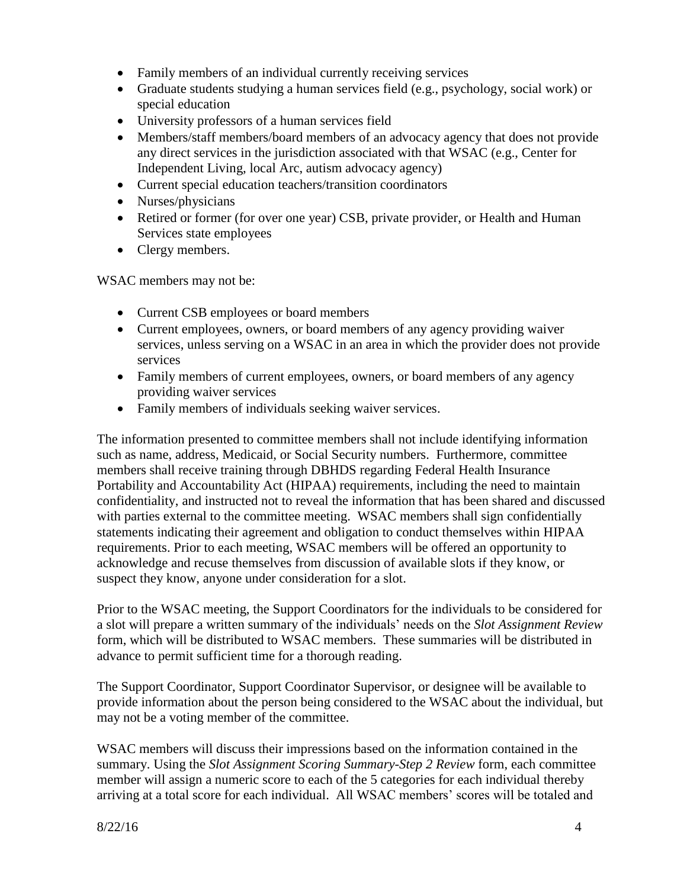- Family members of an individual currently receiving services
- Graduate students studying a human services field (e.g., psychology, social work) or special education
- University professors of a human services field
- Members/staff members/board members of an advocacy agency that does not provide any direct services in the jurisdiction associated with that WSAC (e.g., Center for Independent Living, local Arc, autism advocacy agency)
- Current special education teachers/transition coordinators
- Nurses/physicians
- Retired or former (for over one year) CSB, private provider, or Health and Human Services state employees
- Clergy members.

WSAC members may not be:

- Current CSB employees or board members
- Current employees, owners, or board members of any agency providing waiver services, unless serving on a WSAC in an area in which the provider does not provide services
- Family members of current employees, owners, or board members of any agency providing waiver services
- Family members of individuals seeking waiver services.

The information presented to committee members shall not include identifying information such as name, address, Medicaid, or Social Security numbers. Furthermore, committee members shall receive training through DBHDS regarding Federal Health Insurance Portability and Accountability Act (HIPAA) requirements, including the need to maintain confidentiality, and instructed not to reveal the information that has been shared and discussed with parties external to the committee meeting. WSAC members shall sign confidentially statements indicating their agreement and obligation to conduct themselves within HIPAA requirements. Prior to each meeting, WSAC members will be offered an opportunity to acknowledge and recuse themselves from discussion of available slots if they know, or suspect they know, anyone under consideration for a slot.

Prior to the WSAC meeting, the Support Coordinators for the individuals to be considered for a slot will prepare a written summary of the individuals' needs on the *Slot Assignment Review* form, which will be distributed to WSAC members. These summaries will be distributed in advance to permit sufficient time for a thorough reading.

The Support Coordinator, Support Coordinator Supervisor, or designee will be available to provide information about the person being considered to the WSAC about the individual, but may not be a voting member of the committee.

WSAC members will discuss their impressions based on the information contained in the summary. Using the *Slot Assignment Scoring Summary-Step 2 Review* form, each committee member will assign a numeric score to each of the 5 categories for each individual thereby arriving at a total score for each individual. All WSAC members' scores will be totaled and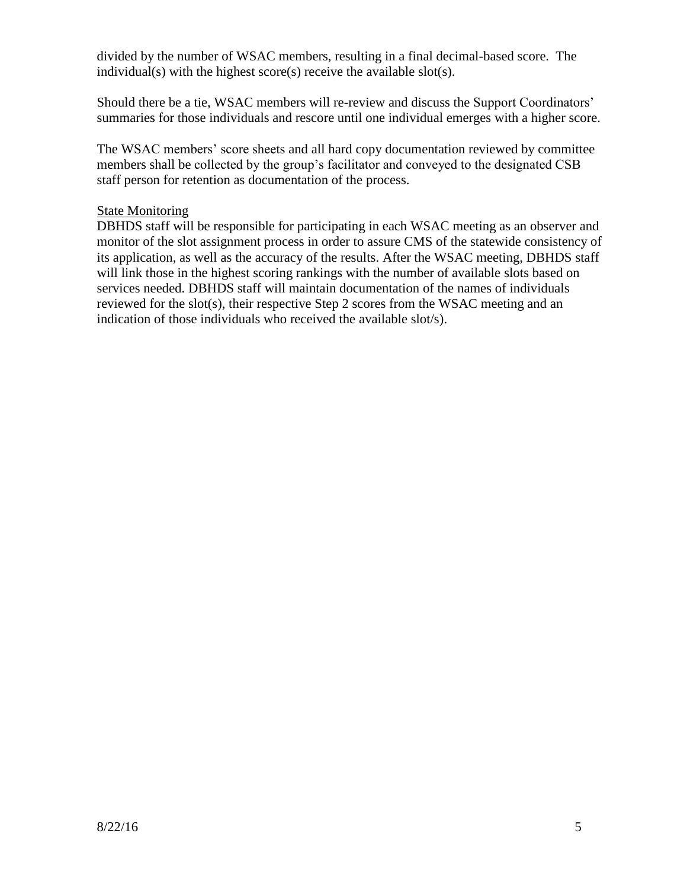divided by the number of WSAC members, resulting in a final decimal-based score. The individual(s) with the highest score(s) receive the available slot(s).

Should there be a tie, WSAC members will re-review and discuss the Support Coordinators' summaries for those individuals and rescore until one individual emerges with a higher score.

The WSAC members' score sheets and all hard copy documentation reviewed by committee members shall be collected by the group's facilitator and conveyed to the designated CSB staff person for retention as documentation of the process.

#### State Monitoring

DBHDS staff will be responsible for participating in each WSAC meeting as an observer and monitor of the slot assignment process in order to assure CMS of the statewide consistency of its application, as well as the accuracy of the results. After the WSAC meeting, DBHDS staff will link those in the highest scoring rankings with the number of available slots based on services needed. DBHDS staff will maintain documentation of the names of individuals reviewed for the slot(s), their respective Step 2 scores from the WSAC meeting and an indication of those individuals who received the available slot/s).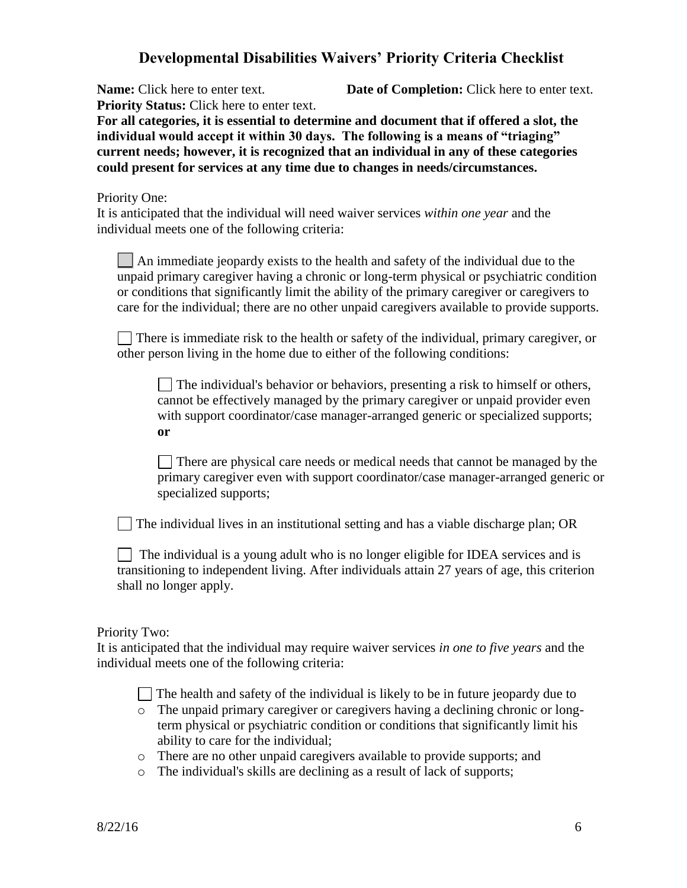### **Developmental Disabilities Waivers' Priority Criteria Checklist**

**Priority Status:** Click here to enter text.

**Name:** Click here to enter text. **Date of Completion:** Click here to enter text.

**For all categories, it is essential to determine and document that if offered a slot, the individual would accept it within 30 days. The following is a means of "triaging" current needs; however, it is recognized that an individual in any of these categories could present for services at any time due to changes in needs/circumstances.**

#### Priority One:

It is anticipated that the individual will need waiver services *within one year* and the individual meets one of the following criteria:

An immediate jeopardy exists to the health and safety of the individual due to the unpaid primary caregiver having a chronic or long-term physical or psychiatric condition or conditions that significantly limit the ability of the primary caregiver or caregivers to care for the individual; there are no other unpaid caregivers available to provide supports.

There is immediate risk to the health or safety of the individual, primary caregiver, or other person living in the home due to either of the following conditions:

The individual's behavior or behaviors, presenting a risk to himself or others, cannot be effectively managed by the primary caregiver or unpaid provider even with support coordinator/case manager-arranged generic or specialized supports; **or** 

There are physical care needs or medical needs that cannot be managed by the primary caregiver even with support coordinator/case manager-arranged generic or specialized supports;

 $\Box$  The individual lives in an institutional setting and has a viable discharge plan; OR

 $\Box$  The individual is a young adult who is no longer eligible for IDEA services and is transitioning to independent living. After individuals attain 27 years of age, this criterion shall no longer apply.

#### Priority Two:

It is anticipated that the individual may require waiver services *in one to five years* and the individual meets one of the following criteria:

The health and safety of the individual is likely to be in future jeopardy due to

- o The unpaid primary caregiver or caregivers having a declining chronic or longterm physical or psychiatric condition or conditions that significantly limit his ability to care for the individual;
- o There are no other unpaid caregivers available to provide supports; and
- o The individual's skills are declining as a result of lack of supports;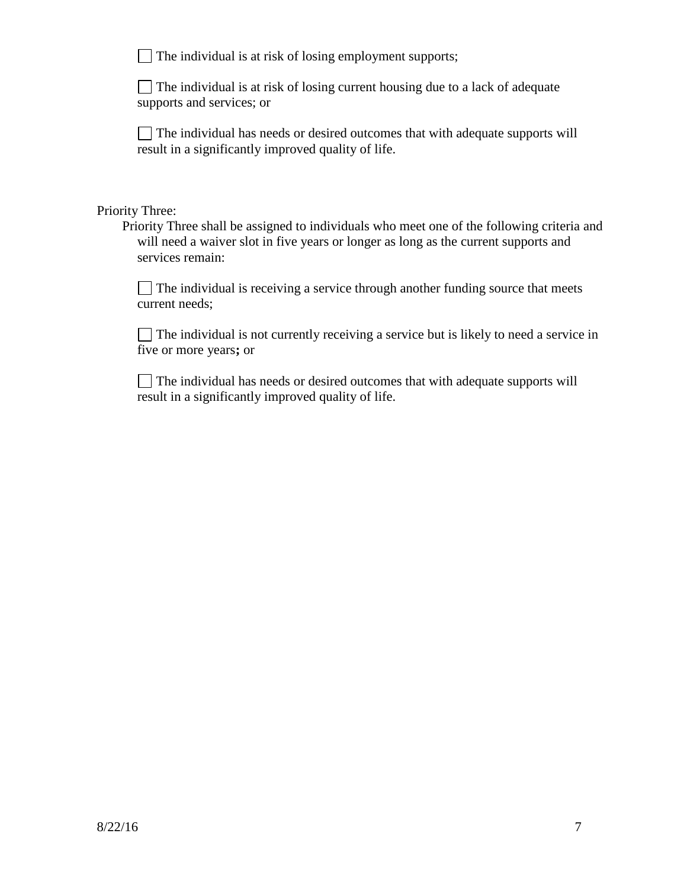$\Box$  The individual is at risk of losing employment supports;

The individual is at risk of losing current housing due to a lack of adequate supports and services; or

The individual has needs or desired outcomes that with adequate supports will result in a significantly improved quality of life.

#### Priority Three:

Priority Three shall be assigned to individuals who meet one of the following criteria and will need a waiver slot in five years or longer as long as the current supports and services remain:

 $\Box$  The individual is receiving a service through another funding source that meets current needs;

 $\Box$  The individual is not currently receiving a service but is likely to need a service in five or more years**;** or

 $\Box$  The individual has needs or desired outcomes that with adequate supports will result in a significantly improved quality of life.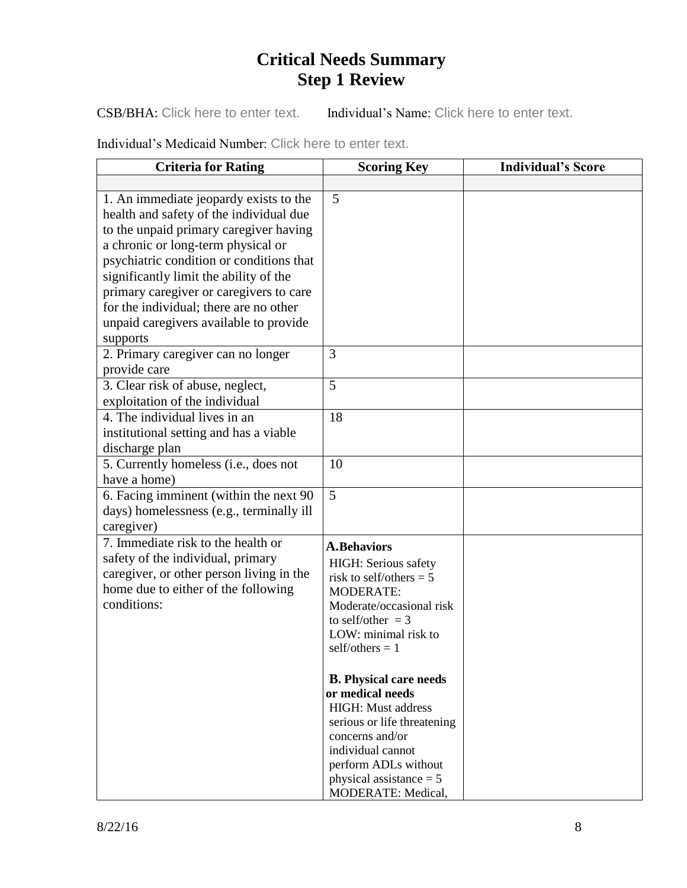# **Critical Needs Summary Step 1 Review**

CSB/BHA: Click here to enter text. Individual's Name: Click here to enter text.

Individual's Medicaid Number: Click here to enter text.

| <b>Criteria for Rating</b>                                                                                                                                                                                                                                                                                                                   | <b>Scoring Key</b>                                                                                                                                                                                                        | <b>Individual's Score</b> |
|----------------------------------------------------------------------------------------------------------------------------------------------------------------------------------------------------------------------------------------------------------------------------------------------------------------------------------------------|---------------------------------------------------------------------------------------------------------------------------------------------------------------------------------------------------------------------------|---------------------------|
|                                                                                                                                                                                                                                                                                                                                              |                                                                                                                                                                                                                           |                           |
| 1. An immediate jeopardy exists to the<br>health and safety of the individual due<br>to the unpaid primary caregiver having<br>a chronic or long-term physical or<br>psychiatric condition or conditions that<br>significantly limit the ability of the<br>primary caregiver or caregivers to care<br>for the individual; there are no other | 5                                                                                                                                                                                                                         |                           |
| unpaid caregivers available to provide                                                                                                                                                                                                                                                                                                       |                                                                                                                                                                                                                           |                           |
| supports<br>2. Primary caregiver can no longer<br>provide care                                                                                                                                                                                                                                                                               | 3                                                                                                                                                                                                                         |                           |
| 3. Clear risk of abuse, neglect,<br>exploitation of the individual                                                                                                                                                                                                                                                                           | 5                                                                                                                                                                                                                         |                           |
| 4. The individual lives in an<br>institutional setting and has a viable<br>discharge plan                                                                                                                                                                                                                                                    | 18                                                                                                                                                                                                                        |                           |
| 5. Currently homeless (i.e., does not<br>have a home)                                                                                                                                                                                                                                                                                        | 10                                                                                                                                                                                                                        |                           |
| 6. Facing imminent (within the next 90<br>days) homelessness (e.g., terminally ill<br>caregiver)                                                                                                                                                                                                                                             | 5                                                                                                                                                                                                                         |                           |
| 7. Immediate risk to the health or<br>safety of the individual, primary<br>caregiver, or other person living in the<br>home due to either of the following<br>conditions:                                                                                                                                                                    | <b>A.Behaviors</b><br>HIGH: Serious safety<br>risk to self/others = $5$<br><b>MODERATE:</b><br>Moderate/occasional risk<br>to self/other $=$ 3<br>LOW: minimal risk to<br>$self/others = 1$                               |                           |
|                                                                                                                                                                                                                                                                                                                                              | <b>B.</b> Physical care needs<br>or medical needs<br>HIGH: Must address<br>serious or life threatening<br>concerns and/or<br>individual cannot<br>perform ADLs without<br>physical assistance $= 5$<br>MODERATE: Medical, |                           |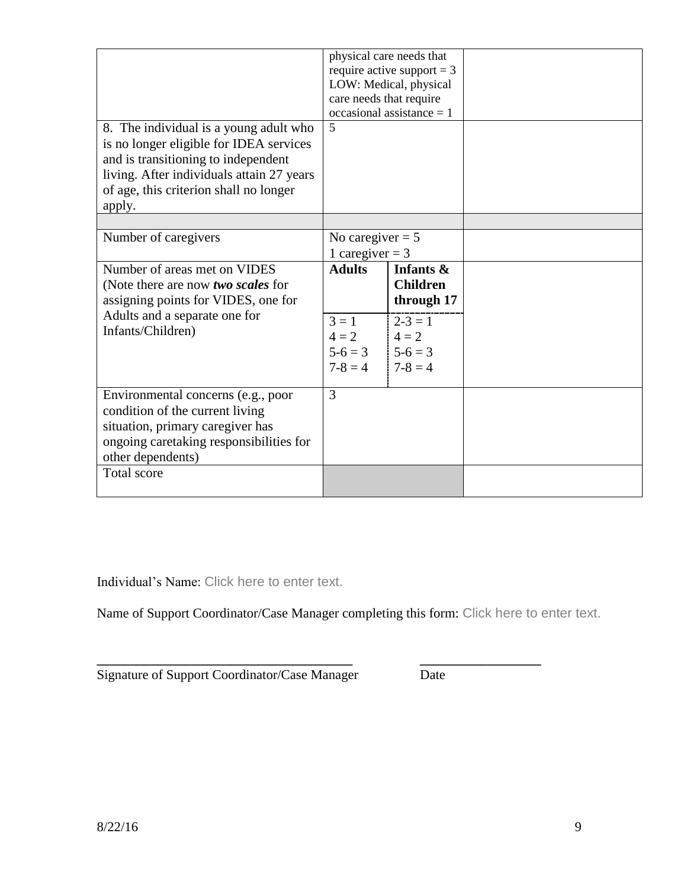| 8. The individual is a young adult who<br>is no longer eligible for IDEA services<br>and is transitioning to independent<br>living. After individuals attain 27 years     | 5                                                    | physical care needs that<br>require active support = $3$<br>LOW: Medical, physical<br>care needs that require<br>occasional assistance $= 1$ |  |
|---------------------------------------------------------------------------------------------------------------------------------------------------------------------------|------------------------------------------------------|----------------------------------------------------------------------------------------------------------------------------------------------|--|
| of age, this criterion shall no longer                                                                                                                                    |                                                      |                                                                                                                                              |  |
| apply.                                                                                                                                                                    |                                                      |                                                                                                                                              |  |
| Number of caregivers                                                                                                                                                      | No caregiver $= 5$<br>1 caregiver = $3$              |                                                                                                                                              |  |
| Number of areas met on VIDES<br>(Note there are now two scales for<br>assigning points for VIDES, one for                                                                 | <b>Adults</b>                                        | Infants &<br><b>Children</b><br>through 17                                                                                                   |  |
| Adults and a separate one for<br>Infants/Children)                                                                                                                        | $3 = 1$<br>$4=2$<br>$5-6=3$   $5-6=3$<br>$7 - 8 = 4$ | $2 - 3 = 1$<br>$4 = 2$<br>$7-8=4$                                                                                                            |  |
| Environmental concerns (e.g., poor<br>condition of the current living<br>situation, primary caregiver has<br>ongoing caretaking responsibilities for<br>other dependents) | 3                                                    |                                                                                                                                              |  |
| <b>Total score</b>                                                                                                                                                        |                                                      |                                                                                                                                              |  |

Individual's Name: Click here to enter text.

Name of Support Coordinator/Case Manager completing this form: Click here to enter text.

**\_\_\_\_\_\_\_\_\_\_\_\_\_\_\_\_\_\_\_\_\_\_\_\_\_\_\_\_\_\_\_\_\_\_\_\_\_\_ \_\_\_\_\_\_\_\_\_\_\_\_\_\_\_\_\_\_**

| Signature of Support Coordinator/Case Manager | Date |
|-----------------------------------------------|------|
|                                               |      |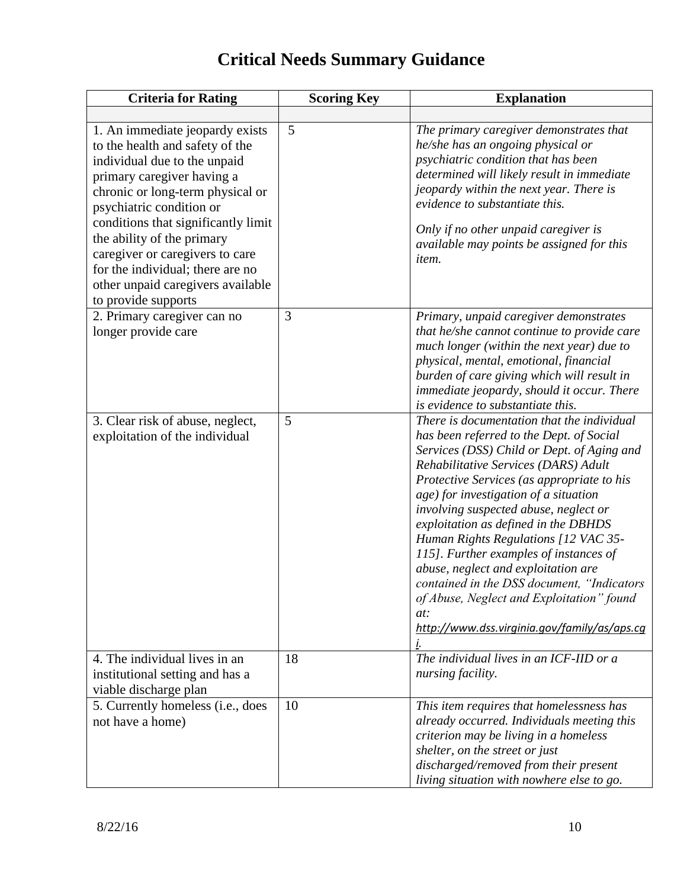# **Critical Needs Summary Guidance**

| <b>Criteria for Rating</b>                                                                                                                                                                                                                                                                                                                                                                               | <b>Scoring Key</b> | <b>Explanation</b>                                                                                                                                                                                                                                                                                                                                                                                                                                                                                                                                                                                                                    |
|----------------------------------------------------------------------------------------------------------------------------------------------------------------------------------------------------------------------------------------------------------------------------------------------------------------------------------------------------------------------------------------------------------|--------------------|---------------------------------------------------------------------------------------------------------------------------------------------------------------------------------------------------------------------------------------------------------------------------------------------------------------------------------------------------------------------------------------------------------------------------------------------------------------------------------------------------------------------------------------------------------------------------------------------------------------------------------------|
|                                                                                                                                                                                                                                                                                                                                                                                                          |                    |                                                                                                                                                                                                                                                                                                                                                                                                                                                                                                                                                                                                                                       |
| 1. An immediate jeopardy exists<br>to the health and safety of the<br>individual due to the unpaid<br>primary caregiver having a<br>chronic or long-term physical or<br>psychiatric condition or<br>conditions that significantly limit<br>the ability of the primary<br>caregiver or caregivers to care<br>for the individual; there are no<br>other unpaid caregivers available<br>to provide supports | 5                  | The primary caregiver demonstrates that<br>he/she has an ongoing physical or<br>psychiatric condition that has been<br>determined will likely result in immediate<br>jeopardy within the next year. There is<br>evidence to substantiate this.<br>Only if no other unpaid caregiver is<br>available may points be assigned for this<br><i>item.</i>                                                                                                                                                                                                                                                                                   |
| 2. Primary caregiver can no<br>longer provide care                                                                                                                                                                                                                                                                                                                                                       | 3                  | Primary, unpaid caregiver demonstrates<br>that he/she cannot continue to provide care<br>much longer (within the next year) due to<br>physical, mental, emotional, financial<br>burden of care giving which will result in<br>immediate jeopardy, should it occur. There<br>is evidence to substantiate this.                                                                                                                                                                                                                                                                                                                         |
| 3. Clear risk of abuse, neglect,<br>exploitation of the individual                                                                                                                                                                                                                                                                                                                                       | 5                  | There is documentation that the individual<br>has been referred to the Dept. of Social<br>Services (DSS) Child or Dept. of Aging and<br>Rehabilitative Services (DARS) Adult<br>Protective Services (as appropriate to his<br>age) for investigation of a situation<br>involving suspected abuse, neglect or<br>exploitation as defined in the DBHDS<br>Human Rights Regulations [12 VAC 35-<br>115]. Further examples of instances of<br>abuse, neglect and exploitation are<br>contained in the DSS document, "Indicators<br>of Abuse, Neglect and Exploitation" found<br>at:<br>http://www.dss.virginia.gov/family/as/aps.cq<br>i. |
| 4. The individual lives in an<br>institutional setting and has a<br>viable discharge plan                                                                                                                                                                                                                                                                                                                | 18                 | The individual lives in an ICF-IID or a<br>nursing facility.                                                                                                                                                                                                                                                                                                                                                                                                                                                                                                                                                                          |
| 5. Currently homeless (i.e., does<br>not have a home)                                                                                                                                                                                                                                                                                                                                                    | 10                 | This item requires that homelessness has<br>already occurred. Individuals meeting this<br>criterion may be living in a homeless<br>shelter, on the street or just<br>discharged/removed from their present<br>living situation with nowhere else to go.                                                                                                                                                                                                                                                                                                                                                                               |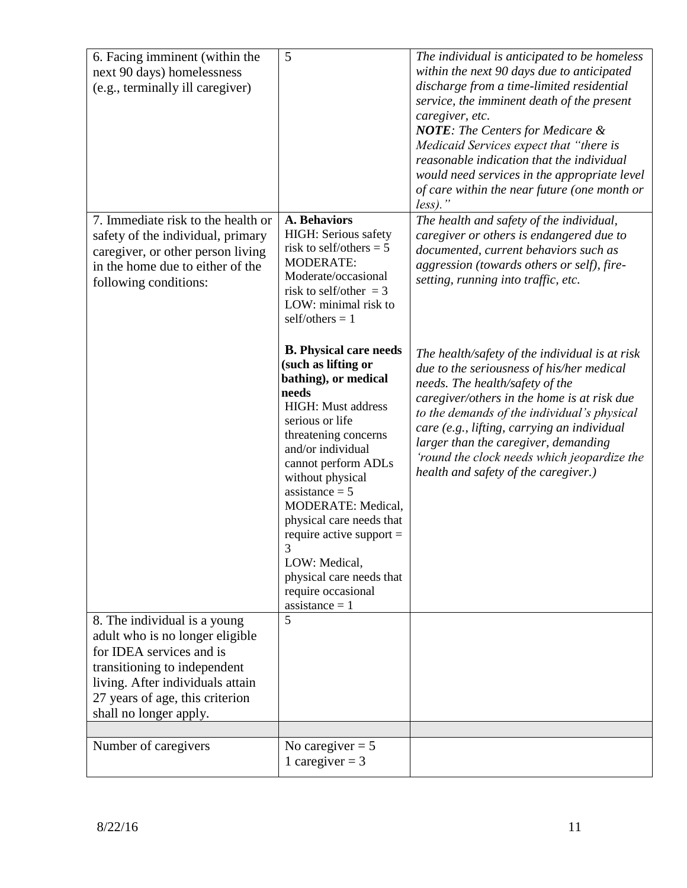| 6. Facing imminent (within the<br>next 90 days) homelessness<br>(e.g., terminally ill caregiver)                                                                                                                             | 5<br><b>A. Behaviors</b>                                                                                                                                                                                                                                                                                                                                                                                                      | The individual is anticipated to be homeless<br>within the next 90 days due to anticipated<br>discharge from a time-limited residential<br>service, the imminent death of the present<br>caregiver, etc.<br><b>NOTE:</b> The Centers for Medicare &<br>Medicaid Services expect that "there is<br>reasonable indication that the individual<br>would need services in the appropriate level<br>of care within the near future (one month or<br>$less)$ ." |
|------------------------------------------------------------------------------------------------------------------------------------------------------------------------------------------------------------------------------|-------------------------------------------------------------------------------------------------------------------------------------------------------------------------------------------------------------------------------------------------------------------------------------------------------------------------------------------------------------------------------------------------------------------------------|-----------------------------------------------------------------------------------------------------------------------------------------------------------------------------------------------------------------------------------------------------------------------------------------------------------------------------------------------------------------------------------------------------------------------------------------------------------|
| 7. Immediate risk to the health or<br>safety of the individual, primary<br>caregiver, or other person living<br>in the home due to either of the<br>following conditions:                                                    | HIGH: Serious safety<br>risk to self/others = $5$<br><b>MODERATE:</b><br>Moderate/occasional<br>risk to self/other $=$ 3<br>LOW: minimal risk to<br>self/others $= 1$                                                                                                                                                                                                                                                         | The health and safety of the individual,<br>caregiver or others is endangered due to<br>documented, current behaviors such as<br>aggression (towards others or self), fire-<br>setting, running into traffic, etc.                                                                                                                                                                                                                                        |
|                                                                                                                                                                                                                              | <b>B.</b> Physical care needs<br>(such as lifting or<br>bathing), or medical<br>needs<br><b>HIGH:</b> Must address<br>serious or life<br>threatening concerns<br>and/or individual<br>cannot perform ADLs<br>without physical<br>$assistance = 5$<br>MODERATE: Medical,<br>physical care needs that<br>require active support $=$<br>3<br>LOW: Medical,<br>physical care needs that<br>require occasional<br>$assistance = 1$ | The health/safety of the individual is at risk<br>due to the seriousness of his/her medical<br>needs. The health/safety of the<br>caregiver/others in the home is at risk due<br>to the demands of the individual's physical<br>care (e.g., lifting, carrying an individual<br>larger than the caregiver, demanding<br>'round the clock needs which jeopardize the<br>health and safety of the caregiver.)                                                |
| 8. The individual is a young<br>adult who is no longer eligible<br>for IDEA services and is<br>transitioning to independent<br>living. After individuals attain<br>27 years of age, this criterion<br>shall no longer apply. | 5                                                                                                                                                                                                                                                                                                                                                                                                                             |                                                                                                                                                                                                                                                                                                                                                                                                                                                           |
| Number of caregivers                                                                                                                                                                                                         | No caregiver $= 5$<br>1 caregiver = $3$                                                                                                                                                                                                                                                                                                                                                                                       |                                                                                                                                                                                                                                                                                                                                                                                                                                                           |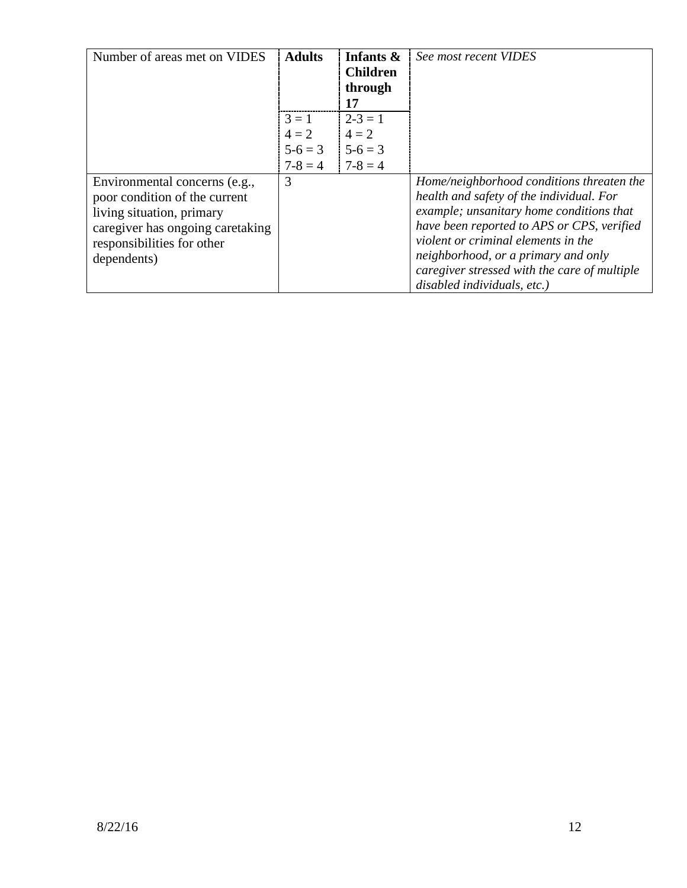| Number of areas met on VIDES                                                                                                                                                 | <b>Adults</b>                            | Infants &<br><b>Children</b><br>through<br>17 | See most recent VIDES                                                                                                                                                                                                                                                                                                                        |
|------------------------------------------------------------------------------------------------------------------------------------------------------------------------------|------------------------------------------|-----------------------------------------------|----------------------------------------------------------------------------------------------------------------------------------------------------------------------------------------------------------------------------------------------------------------------------------------------------------------------------------------------|
|                                                                                                                                                                              | $3 = 1$<br>$4 = 2$<br>$5-6=3$<br>$7-8=4$ | $2 - 3 = 1$<br>$4 = 2$<br>$5-6=3$<br>$7-8=4$  |                                                                                                                                                                                                                                                                                                                                              |
| Environmental concerns (e.g.,<br>poor condition of the current<br>living situation, primary<br>caregiver has ongoing caretaking<br>responsibilities for other<br>dependents) | 3                                        |                                               | Home/neighborhood conditions threaten the<br>health and safety of the individual. For<br>example; unsanitary home conditions that<br>have been reported to APS or CPS, verified<br>violent or criminal elements in the<br>neighborhood, or a primary and only<br>caregiver stressed with the care of multiple<br>disabled individuals, etc.) |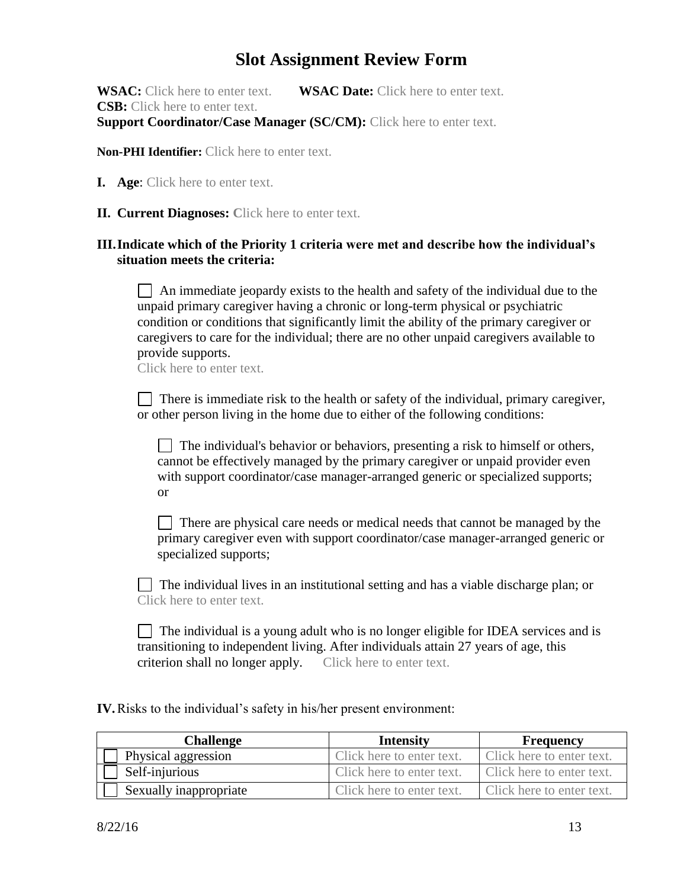## **Slot Assignment Review Form**

**WSAC:** Click here to enter text. **WSAC Date:** Click here to enter text. **CSB:** Click here to enter text. **Support Coordinator/Case Manager (SC/CM):** Click here to enter text.

**Non-PHI Identifier:** Click here to enter text.

- **I. Age**: Click here to enter text.
- **II. Current Diagnoses: C**lick here to enter text.

#### **III.Indicate which of the Priority 1 criteria were met and describe how the individual's situation meets the criteria:**

 $\Box$  An immediate jeopardy exists to the health and safety of the individual due to the unpaid primary caregiver having a chronic or long-term physical or psychiatric condition or conditions that significantly limit the ability of the primary caregiver or caregivers to care for the individual; there are no other unpaid caregivers available to provide supports.

Click here to enter text.

There is immediate risk to the health or safety of the individual, primary caregiver, or other person living in the home due to either of the following conditions:

 $\Box$  The individual's behavior or behaviors, presenting a risk to himself or others, cannot be effectively managed by the primary caregiver or unpaid provider even with support coordinator/case manager-arranged generic or specialized supports; or

There are physical care needs or medical needs that cannot be managed by the primary caregiver even with support coordinator/case manager-arranged generic or specialized supports;

 The individual lives in an institutional setting and has a viable discharge plan; or Click here to enter text.

 $\Box$  The individual is a young adult who is no longer eligible for IDEA services and is transitioning to independent living. After individuals attain 27 years of age, this criterion shall no longer apply. Click here to enter text.

**IV.**Risks to the individual's safety in his/her present environment:

| Challenge              | <b>Intensity</b>          | <b>Frequency</b>          |
|------------------------|---------------------------|---------------------------|
| Physical aggression    | Click here to enter text. | Click here to enter text. |
| Self-injurious         | Click here to enter text. | Click here to enter text. |
| Sexually inappropriate | Click here to enter text. | Click here to enter text. |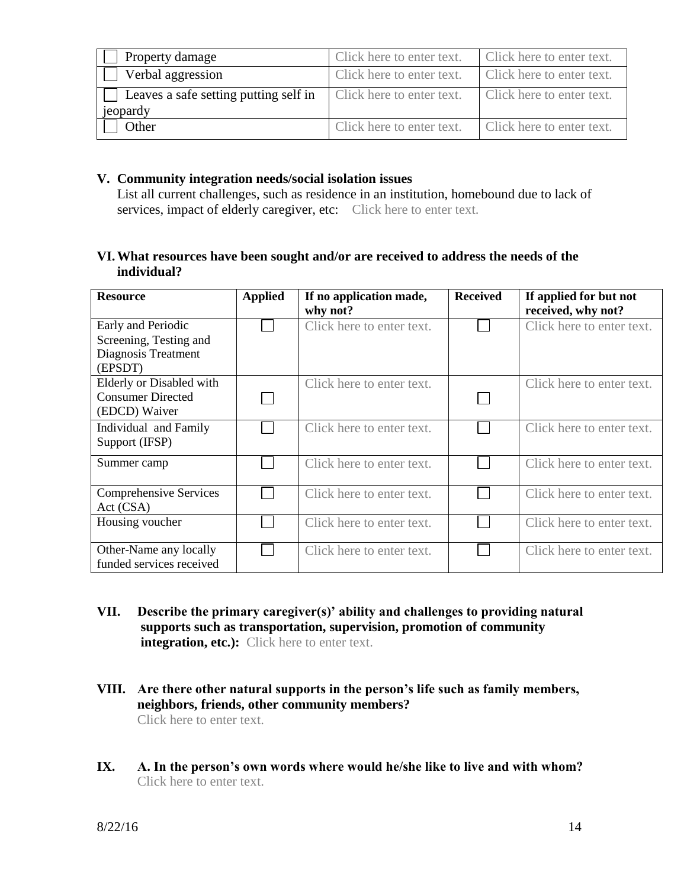| Property damage                       | Click here to enter text. | Click here to enter text. |
|---------------------------------------|---------------------------|---------------------------|
| Verbal aggression                     | Click here to enter text. | Click here to enter text. |
| Leaves a safe setting putting self in | Click here to enter text. | Click here to enter text. |
| jeopardy                              |                           |                           |
| Other                                 | Click here to enter text. | Click here to enter text. |

#### **V. Community integration needs/social isolation issues**

List all current challenges, such as residence in an institution, homebound due to lack of services, impact of elderly caregiver, etc: Click here to enter text.

#### **VI.What resources have been sought and/or are received to address the needs of the individual?**

| <b>Resource</b>               | <b>Applied</b> | If no application made,<br>why not? | <b>Received</b> | If applied for but not<br>received, why not? |
|-------------------------------|----------------|-------------------------------------|-----------------|----------------------------------------------|
| Early and Periodic            |                | Click here to enter text.           |                 | Click here to enter text.                    |
| Screening, Testing and        |                |                                     |                 |                                              |
| Diagnosis Treatment           |                |                                     |                 |                                              |
| (EPSDT)                       |                |                                     |                 |                                              |
| Elderly or Disabled with      |                | Click here to enter text.           |                 | Click here to enter text.                    |
| <b>Consumer Directed</b>      |                |                                     |                 |                                              |
| (EDCD) Waiver                 |                |                                     |                 |                                              |
| Individual and Family         |                | Click here to enter text.           |                 | Click here to enter text.                    |
| Support (IFSP)                |                |                                     |                 |                                              |
| Summer camp                   |                | Click here to enter text.           |                 | Click here to enter text.                    |
|                               |                |                                     |                 |                                              |
| <b>Comprehensive Services</b> |                | Click here to enter text.           |                 | Click here to enter text.                    |
| Act (CSA)                     |                |                                     |                 |                                              |
| Housing voucher               |                | Click here to enter text.           |                 | Click here to enter text.                    |
| Other-Name any locally        |                | Click here to enter text.           |                 | Click here to enter text.                    |
| funded services received      |                |                                     |                 |                                              |

- **VII. Describe the primary caregiver(s)' ability and challenges to providing natural supports such as transportation, supervision, promotion of community integration, etc.):** Click here to enter text.
- **VIII. Are there other natural supports in the person's life such as family members, neighbors, friends, other community members?**  Click here to enter text.
- **IX. A. In the person's own words where would he/she like to live and with whom?** Click here to enter text.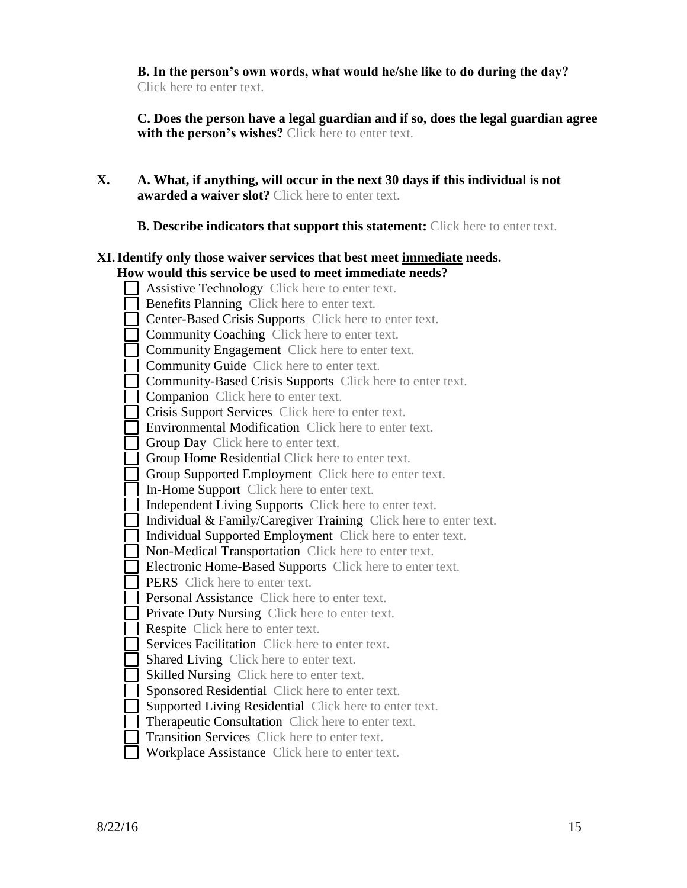**B. In the person's own words, what would he/she like to do during the day?** Click here to enter text.

 **C. Does the person have a legal guardian and if so, does the legal guardian agree with the person's wishes?** Click here to enter text.

**X. A. What, if anything, will occur in the next 30 days if this individual is not awarded a waiver slot?** Click here to enter text.

**B. Describe indicators that support this statement:** Click here to enter text.

#### **XI.Identify only those waiver services that best meet immediate needs. How would this service be used to meet immediate needs?**

 Assistive Technology Click here to enter text. **Benefits Planning** Click here to enter text.  $\Box$  Center-Based Crisis Supports Click here to enter text. **Community Coaching Click here to enter text.**  Community Engagement Click here to enter text. **Community Guide** Click here to enter text. Community-Based Crisis Supports Click here to enter text. **Companion** Click here to enter text. Crisis Support Services Click here to enter text. **Environmental Modification** Click here to enter text. **Group Day** Click here to enter text. Group Home Residential Click here to enter text. Group Supported Employment Click here to enter text. In-Home Support Click here to enter text. Independent Living Supports Click here to enter text. Individual  $&$  Family/Caregiver Training Click here to enter text. Individual Supported Employment Click here to enter text. Non-Medical Transportation Click here to enter text. Electronic Home-Based Supports Click here to enter text. **PERS** Click here to enter text. **Personal Assistance** Click here to enter text. **Private Duty Nursing Click here to enter text.** Respite Click here to enter text. Services Facilitation Click here to enter text. Shared Living Click here to enter text. Skilled Nursing Click here to enter text. Sponsored Residential Click here to enter text. Supported Living Residential Click here to enter text.  $\Box$  Therapeutic Consultation Click here to enter text.  $\Box$  Transition Services Click here to enter text. Workplace Assistance Click here to enter text.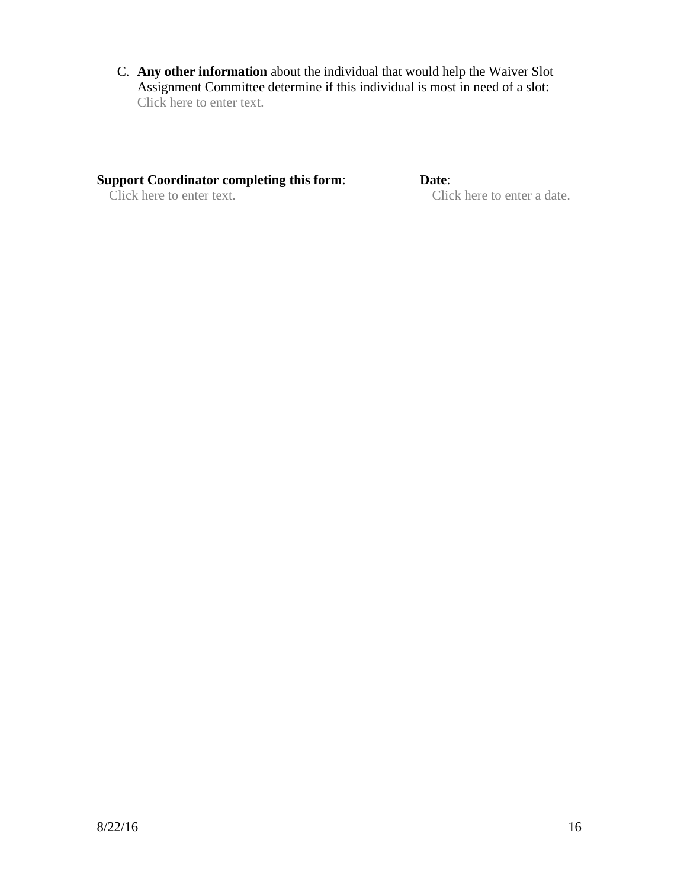C. **Any other information** about the individual that would help the Waiver Slot Assignment Committee determine if this individual is most in need of a slot: Click here to enter text.

# **Support Coordinator completing this form:** Date:<br>Click here to enter text. Clic

Click here to enter a date.